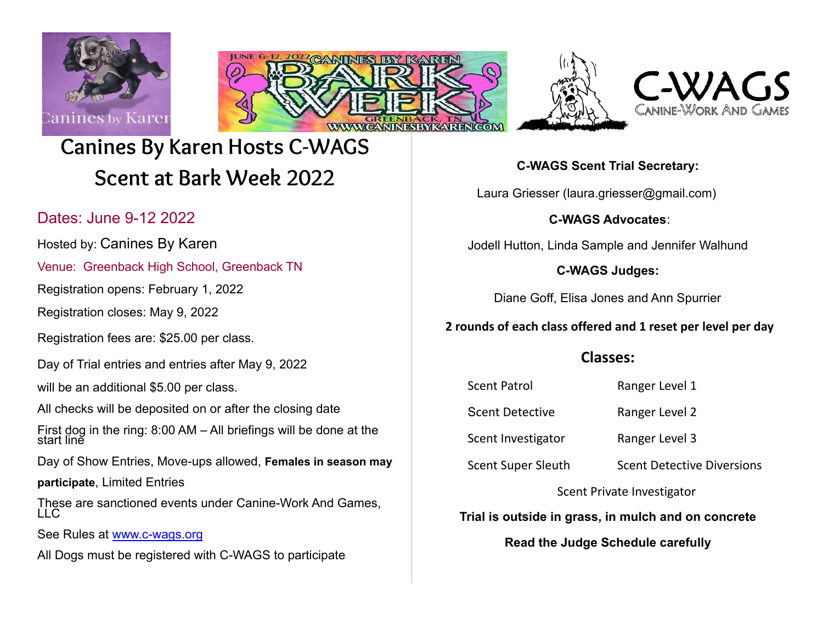







# **Canines By Karen Hosts C-WAGS Scent at Bark Week 2022**

# Dates: June 9-12 2022

Hosted by: Canines By Karen

Venue: Greenback High School, Greenback TN

Registration opens: February 1, 2022

Registration closes: May 9, 2022

Registration fees are: \$25.00 per class.

Day of Trial entries and entries after May 9, 2022

will be an additional \$5.00 per class.

All checks will be deposited on or after the closing date

First dog in the ring: 8:00 AM – All briefings will be done at the start line

Day of Show Entries, Move-ups allowed, **Females in season may**

**participate**, Limited Entries

These are sanctioned events under Canine-Work And Games, LLC

See Rules at [www.c-wags.org](http://www.c-wags.org/)

All Dogs must be registered with C-WAGS to participate

**C-WAGS Scent Trial Secretary:**

Laura Griesser (laura.griesser@gmail.com)

### **C-WAGS Advocates**:

Jodell Hutton, Linda Sample and Jennifer Walhund

### **C-WAGS Judges:**

Diane Goff, Elisa Jones and Ann Spurrier

## **2 rounds of each class offered and 1 reset per level per day**

# **Classes:**

Scent Patrol Ranger Level 1

Scent Detective Ranger Level 2

Scent Investigator Ranger Level 3

Scent Super Sleuth Scent Detective Diversions

Scent Private Investigator

**Trial is outside in grass, in mulch and on concrete**

**Read the Judge Schedule carefully**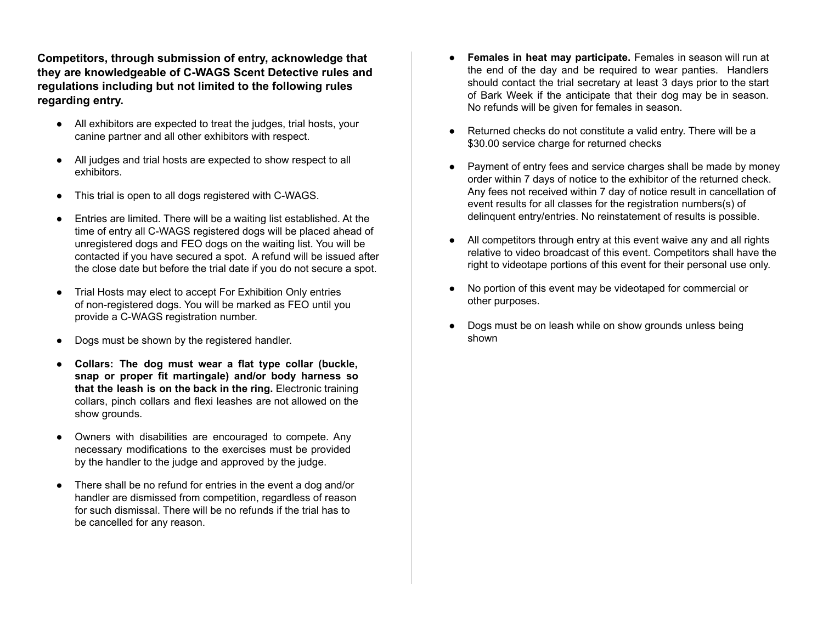**Competitors, through submission of entry, acknowledge that they are knowledgeable of C-WAGS Scent Detective rules and regulations including but not limited to the following rules regarding entry.**

- All exhibitors are expected to treat the judges, trial hosts, your canine partner and all other exhibitors with respect.
- All judges and trial hosts are expected to show respect to all exhibitors.
- This trial is open to all dogs registered with C-WAGS.
- Entries are limited. There will be a waiting list established. At the time of entry all C-WAGS registered dogs will be placed ahead of unregistered dogs and FEO dogs on the waiting list. You will be contacted if you have secured a spot. A refund will be issued after the close date but before the trial date if you do not secure a spot.
- Trial Hosts may elect to accept For Exhibition Only entries of non-registered dogs. You will be marked as FEO until you provide a C-WAGS registration number.
- Dogs must be shown by the registered handler.
- **Collars: The dog must wear a flat type collar (buckle, snap or proper fit martingale) and/or body harness so that the leash is on the back in the ring.** Electronic training collars, pinch collars and flexi leashes are not allowed on the show grounds.
- Owners with disabilities are encouraged to compete. Any necessary modifications to the exercises must be provided by the handler to the judge and approved by the judge.
- There shall be no refund for entries in the event a dog and/or handler are dismissed from competition, regardless of reason for such dismissal. There will be no refunds if the trial has to be cancelled for any reason.
- **Females in heat may participate.** Females in season will run at the end of the day and be required to wear panties. Handlers should contact the trial secretary at least 3 days prior to the start of Bark Week if the anticipate that their dog may be in season. No refunds will be given for females in season.
- Returned checks do not constitute a valid entry. There will be a \$30.00 service charge for returned checks
- Payment of entry fees and service charges shall be made by money order within 7 days of notice to the exhibitor of the returned check. Any fees not received within 7 day of notice result in cancellation of event results for all classes for the registration numbers(s) of delinquent entry/entries. No reinstatement of results is possible.
- All competitors through entry at this event waive any and all rights relative to video broadcast of this event. Competitors shall have the right to videotape portions of this event for their personal use only.
- No portion of this event may be videotaped for commercial or other purposes.
- Dogs must be on leash while on show grounds unless being shown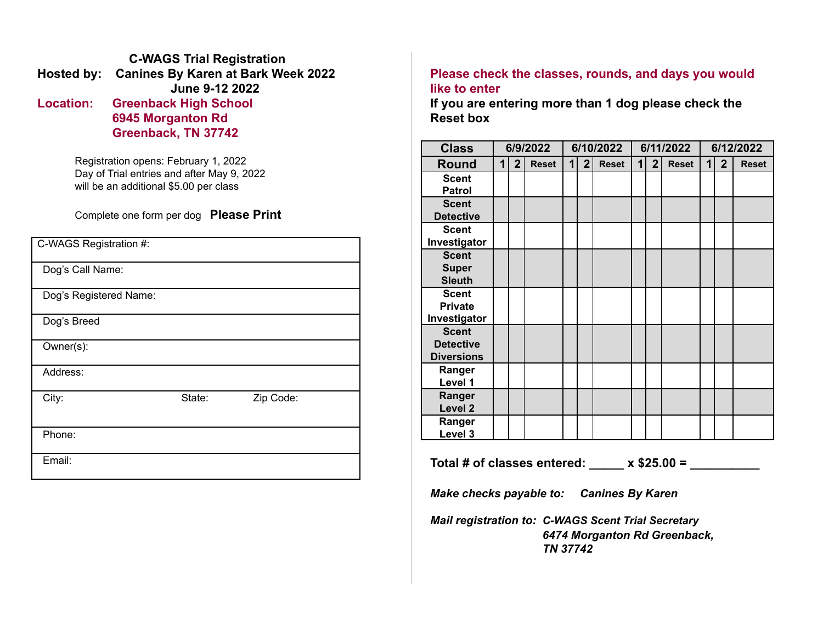### **C-WAGS Trial Registration Hosted by: Canines By Karen at Bark Week 2022 June 9-12 2022 Location: Greenback High School 6945 Morganton Rd Greenback, TN 37742**

Registration opens: February 1, 2022 Day of Trial entries and after May 9, 2022 will be an additional \$5.00 per class

### Complete one form per dog **Please Print**

| C-WAGS Registration #: |        |           |  |
|------------------------|--------|-----------|--|
| Dog's Call Name:       |        |           |  |
| Dog's Registered Name: |        |           |  |
| Dog's Breed            |        |           |  |
| Owner(s):              |        |           |  |
| Address:               |        |           |  |
| City:                  | State: | Zip Code: |  |
| Phone:                 |        |           |  |
| Email:                 |        |           |  |

### **Please check the classes, rounds, and days you would like to enter**

**If you are entering more than 1 dog please check the Reset box**

| <b>Class</b>       | 6/9/2022            |                | 6/10/2022    |             |                | 6/11/2022    |   |                | 6/12/2022    |   |                |              |
|--------------------|---------------------|----------------|--------------|-------------|----------------|--------------|---|----------------|--------------|---|----------------|--------------|
| Round              | $\ddot{\textbf{1}}$ | $\overline{2}$ | <b>Reset</b> | $\mathbf 1$ | $\overline{2}$ | <b>Reset</b> | 1 | 2 <sub>1</sub> | <b>Reset</b> | 1 | $\overline{2}$ | <b>Reset</b> |
| <b>Scent</b>       |                     |                |              |             |                |              |   |                |              |   |                |              |
| <b>Patrol</b>      |                     |                |              |             |                |              |   |                |              |   |                |              |
| <b>Scent</b>       |                     |                |              |             |                |              |   |                |              |   |                |              |
| <b>Detective</b>   |                     |                |              |             |                |              |   |                |              |   |                |              |
| <b>Scent</b>       |                     |                |              |             |                |              |   |                |              |   |                |              |
| Investigator       |                     |                |              |             |                |              |   |                |              |   |                |              |
| <b>Scent</b>       |                     |                |              |             |                |              |   |                |              |   |                |              |
| <b>Super</b>       |                     |                |              |             |                |              |   |                |              |   |                |              |
| <b>Sleuth</b>      |                     |                |              |             |                |              |   |                |              |   |                |              |
| <b>Scent</b>       |                     |                |              |             |                |              |   |                |              |   |                |              |
| <b>Private</b>     |                     |                |              |             |                |              |   |                |              |   |                |              |
| Investigator       |                     |                |              |             |                |              |   |                |              |   |                |              |
| <b>Scent</b>       |                     |                |              |             |                |              |   |                |              |   |                |              |
| <b>Detective</b>   |                     |                |              |             |                |              |   |                |              |   |                |              |
| <b>Diversions</b>  |                     |                |              |             |                |              |   |                |              |   |                |              |
| Ranger             |                     |                |              |             |                |              |   |                |              |   |                |              |
| Level 1            |                     |                |              |             |                |              |   |                |              |   |                |              |
| Ranger             |                     |                |              |             |                |              |   |                |              |   |                |              |
| Level <sub>2</sub> |                     |                |              |             |                |              |   |                |              |   |                |              |
| Ranger             |                     |                |              |             |                |              |   |                |              |   |                |              |
| Level 3            |                     |                |              |             |                |              |   |                |              |   |                |              |

**Total # of classes entered: \_\_\_\_\_ x \$25.00 = \_\_\_\_\_\_\_\_\_\_**

*Make checks payable to: Canines By Karen*

*Mail registration to: C-WAGS Scent Trial Secretary 6474 Morganton Rd Greenback, TN 37742*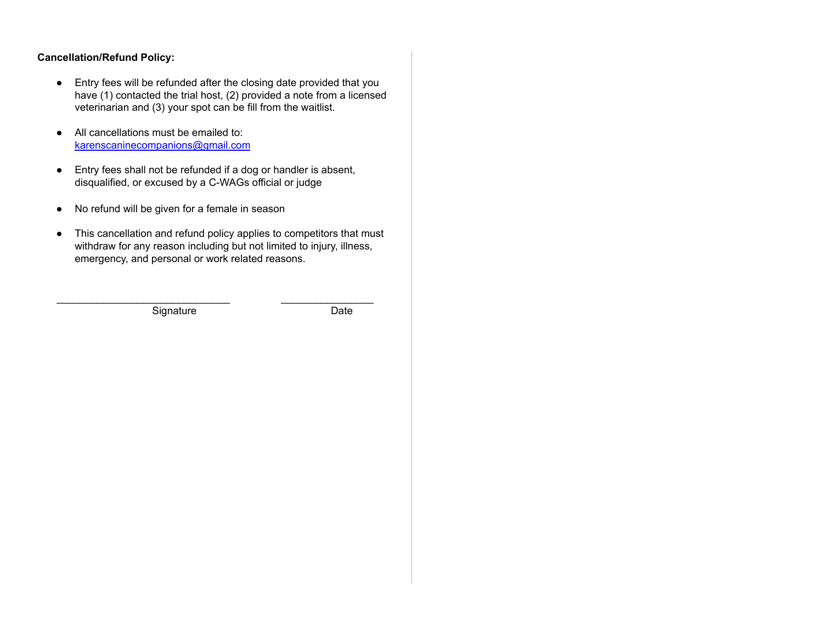#### **Cancellation/Refund Policy:**

- Entry fees will be refunded after the closing date provided that you have (1) contacted the trial host, (2) provided a note from a licensed veterinarian and (3) your spot can be fill from the waitlist.
- All cancellations must be emailed to: [karenscaninecompanions@gmail.com](mailto:karenscaninecompanions@gmail.com)
- Entry fees shall not be refunded if a dog or handler is absent, disqualified, or excused by a C-WAGs official or judge
- No refund will be given for a female in season
- This cancellation and refund policy applies to competitors that must withdraw for any reason including but not limited to injury, illness, emergency, and personal or work related reasons.

\_\_\_\_\_\_\_\_\_\_\_\_\_\_\_\_\_\_\_\_\_\_\_\_\_\_\_\_\_\_ \_\_\_\_\_\_\_\_\_\_\_\_\_\_\_\_

Signature Date